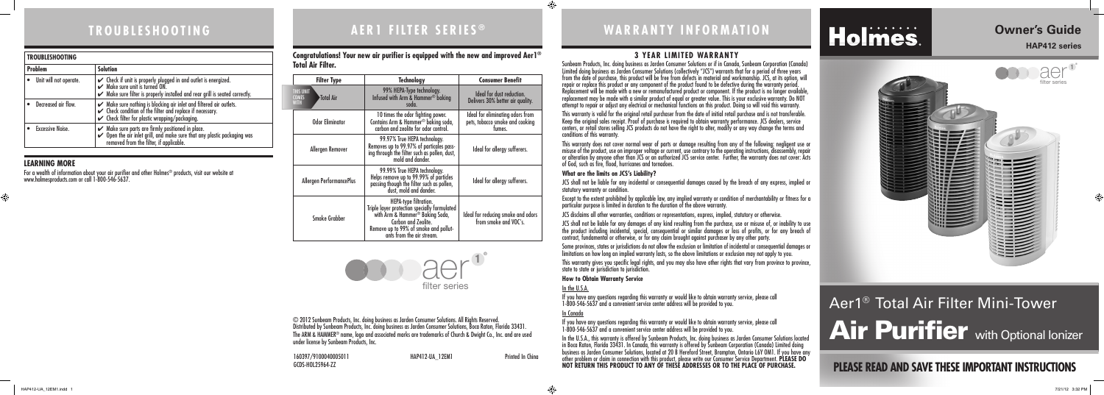## **3 YEAR LIMITED WARRANTY**

Sunbeam Products, Inc. doing business as Jarden Consumer Solutions or if in Canada, Sunbeam Corporation (Canada) Limited doing business as Jarden Consumer Solutions (collectively "JCS") warrants that for a period of three years from the date of purchase, this product will be free from defects in material and workmanship. JCS, at its option, will repair or replace this product or any component of the product found to be defective during the warranty period. Replacement will be made with a new or remanufactured product or component. If the product is no longer available, replacement may be made with a similar product of equal or greater value. This is your exclusive warranty. Do NOT attempt to repair or adjust any electrical or mechanical functions on this product. Doing so will void this warranty.

This warranty is valid for the original retail purchaser from the date of initial retail purchase and is not transferable. Keep the original sales receipt. Proof of purchase is required to obtain warranty performance. JCS dealers, service centers, or retail stores selling JCS products do not have the right to alter, modify or any way change the terms and conditions of this warranty.

This warranty does not cover normal wear of parts or damage resulting from any of the following: negligent use or misuse of the product, use on improper voltage or current, use contrary to the operating instructions, disassembly, repair or alteration by anyone other than JCS or an authorized JCS service center. Further, the warranty does not cover: Acts of God, such as fire, flood, hurricanes and tornadoes.

This warranty gives you specific legal rights, and you may also have other rights that vary from province to province, state to state or jurisdiction to jurisdiction.

#### **What are the limits on JCS's Liability?**

JCS shall not be liable for any incidental or consequential damages caused by the breach of any express, implied or statutory warranty or condition.

Except to the extent prohibited by applicable law, any implied warranty or condition of merchantability or fitness for a particular purpose is limited in duration to the duration of the above warranty.

# Aer1® Total Air Filter Mini-Tower Air Purifier with Optional Ionizer

JCS disclaims all other warranties, conditions or representations, express, implied, statutory or otherwise.

JCS shall not be liable for any damages of any kind resulting from the purchase, use or misuse of, or inability to use the product including incidental, special, consequential or similar damages or loss of profits, or for any breach of contract, fundamental or otherwise, or for any claim brought against purchaser by any other party.

Some provinces, states or jurisdictions do not allow the exclusion or limitation of incidental or consequential damages or limitations on how long an implied warranty lasts, so the above limitations or exclusion may not apply to you.

aer<sup>1</sup> filter series

#### **How to Obtain Warranty Service**

In the U.S.A. If you have any questions regarding this warranty or would like to obtain warranty service, please call 1-800-546-5637 and a convenient service center address will be provided to you.

In Canada

If you have any questions regarding this warranty or would like to obtain warranty service, please call 1-800-546-5637 and a convenient service center address will be provided to you.

In the U.S.A., this warranty is offered by Sunbeam Products, Inc. doing business as Jarden Consumer Solutions located in Boca Raton, Florida 33431. In Canada, this warranty is offered by Sunbeam Corporation (Canada) Limited doing business as Jarden Consumer Solutions, located at 20 B Hereford Street, Brampton, Ontario L6Y OM1. If you have any other problem or claim in connection with this product, please write our Consumer Service Department. **PLEASE DO NOT RETURN THIS PRODUCT TO ANY OF THESE ADDRESSES OR TO THE PLACE OF PURCHASE.** 

# **AER1 FILTER SERIES T R O U B L E S H O O T I N G ® WARRANTY INFORMATION**

# Holmes.

# **PLEASE READ AND SAVE THESE IMPORTANT INSTRUCTIONS**

 $\bigoplus$ 

# **Owner's Guide**

#### **HAP412 series**

160397/9100040005011 HAP412-UA\_12EM1 Printed In China GCDS-HOL25964-ZZ

© 2012 Sunbeam Products, Inc. doing business as Jarden Consumer Solutions. All Rights Reserved. Distributed by Sunbeam Products, Inc. doing business as Jarden Consumer Solutions, Boca Raton, Florida 33431. The ARM & HAMMER® name, logo and associated marks are trademarks of Church & Dwight Co., Inc. and are used under license by Sunbeam Products, Inc.

### **LEARNING MORE**

 $\bigoplus$ 

For a wealth of information about your air purifier and other Holmes® products, visit our website at www.holmesproducts.com or call 1-800-546-5637.

| <b>TROUBLESHOOTING</b>  |                                                                                                                                                                                                                     |  |  |  |
|-------------------------|---------------------------------------------------------------------------------------------------------------------------------------------------------------------------------------------------------------------|--|--|--|
| <b>Problem</b>          | <b>Solution</b>                                                                                                                                                                                                     |  |  |  |
| Unit will not operate.  | Check if unit is properly plugged in and outlet is energized.<br>C Make sure unit is turned ON.<br>Make sure filter is properly installed and rear grill is seated correctly.                                       |  |  |  |
| Decreased air flow.     | $\checkmark$ Make sure nothing is blocking air inlet and filtered air outlets.<br>$\checkmark$ Check condition of the filter and replace if necessary.<br>$\checkmark$ Check filter for plastic wrapping/packaging. |  |  |  |
| <b>Excessive Noise.</b> | Make sure parts are firmly positioned in place.<br>Open the air inlet grill, and make sure that any plastic packaging was<br>removed from the filter, if applicable.                                                |  |  |  |

**Congratulations! Your new air purifier is equipped with the new and improved Aer1® Total Air Filter.**



|                          | <b>Filter Type</b>                             | <b>Technology</b>                                                                                                                                                                                     | <b>Consumer Benefit</b>                                                       |  |
|--------------------------|------------------------------------------------|-------------------------------------------------------------------------------------------------------------------------------------------------------------------------------------------------------|-------------------------------------------------------------------------------|--|
|                          | <b>THIS UNIT</b><br>Total Air<br>COMFS<br>WITH | 99% HEPA-Type technology.<br>Infused with Arm & Hammer <sup>®</sup> baking<br>soda.                                                                                                                   | Ideal for dust reduction.<br>Delivers 30% better air quality.                 |  |
|                          | <b>Odor Eliminator</b>                         | 10 times the odor fighting power.<br>Contains Arm & Hammer <sup>®</sup> baking soda,<br>carbon and zeolite for odor control.                                                                          | Ideal for eliminating odors from<br>pets, tobacco smoke and cooking<br>fumes. |  |
|                          | Allergen Remover                               | 99.97% True HEPA technology.<br>Removes up to 99.97% of particales pass-<br>ing through the filter such as pollen, dust,<br>mold and dander.                                                          | Ideal for allergy sufferers.                                                  |  |
| Allergen PerformancePlus |                                                | 99.99% True HEPA technology.<br>Helps remove up to 99.99% of particles<br>passing though the filter such as pollen,<br>dust, mold and dander.                                                         | Ideal for allergy sufferers.                                                  |  |
|                          | <b>Smoke Grabber</b>                           | HEPA-type filtration.<br>Triple layer protection specially formulated<br>with Arm & Hammer® Baking Soda,<br>Carbon and Zeolite.<br>Remove up to 99% of smoke and pollut-<br>ants from the air stream. | Ideal for reducing smoke and odors<br>from smoke and VOC's.                   |  |

⊕